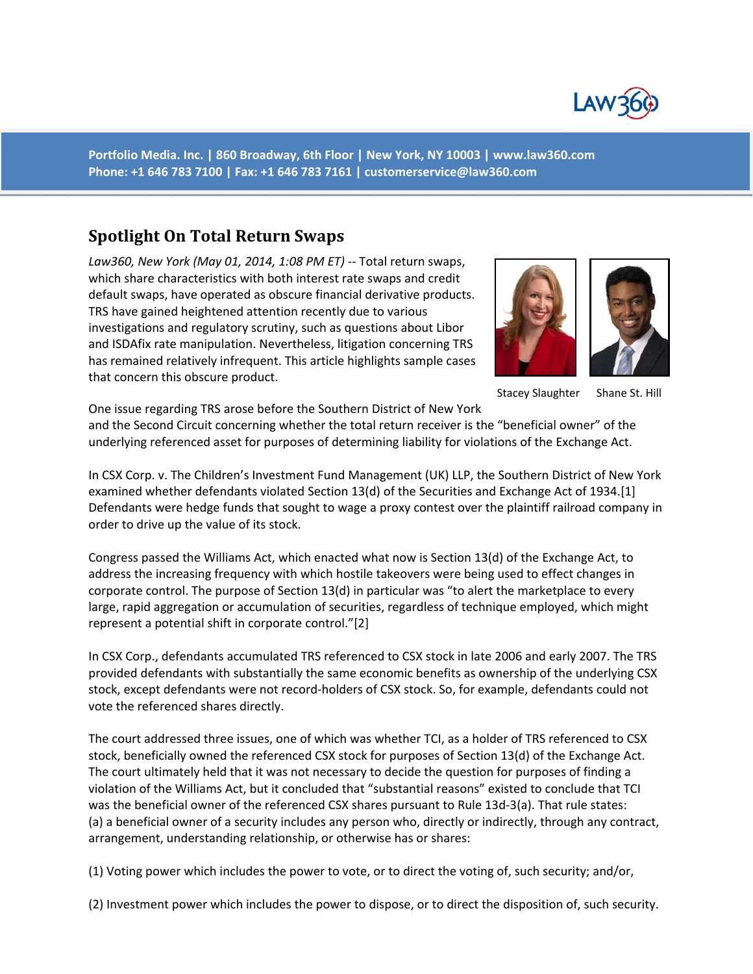

**Portfolio Media. Inc. | 860 Broadway, 6th Floor | New York, NY 10003 | www.law360.com Phone: +1 646 783 7100 | Fax: +1 646 783 7161 | customerservice@law360.com**

## **Spotlight On Total Return Swaps**

*Law360, New York (May 01, 2014, 1:08 PM ET)* ‐‐ Total return swaps, which share characteristics with both interest rate swaps and credit default swaps, have operated as obscure financial derivative products. TRS have gained heightened attention recently due to various investigations and regulatory scrutiny, such as questions about Libor and ISDAfix rate manipulation. Nevertheless, litigation concerning TRS has remained relatively infrequent. This article highlights sample cases that concern this obscure product.





Stacey Slaughter Shane St. Hill

One issue regarding TRS arose before the Southern District of New York and the Second Circuit concerning whether the total return receiver is the "beneficial owner" of the underlying referenced asset for purposes of determining liability for violations of the Exchange Act.

In CSX Corp. v. The Children's Investment Fund Management (UK) LLP, the Southern District of New York examined whether defendants violated Section 13(d) of the Securities and Exchange Act of 1934.[1] Defendants were hedge funds that sought to wage a proxy contest over the plaintiff railroad company in order to drive up the value of its stock.

Congress passed the Williams Act, which enacted what now is Section 13(d) of the Exchange Act, to address the increasing frequency with which hostile takeovers were being used to effect changes in corporate control. The purpose of Section 13(d) in particular was "to alert the marketplace to every large, rapid aggregation or accumulation of securities, regardless of technique employed, which might represent a potential shift in corporate control."[2]

In CSX Corp., defendants accumulated TRS referenced to CSX stock in late 2006 and early 2007. The TRS provided defendants with substantially the same economic benefits as ownership of the underlying CSX stock, except defendants were not record-holders of CSX stock. So, for example, defendants could not vote the referenced shares directly.

The court addressed three issues, one of which was whether TCI, as a holder of TRS referenced to CSX stock, beneficially owned the referenced CSX stock for purposes of Section 13(d) of the Exchange Act. The court ultimately held that it was not necessary to decide the question for purposes of finding a violation of the Williams Act, but it concluded that "substantial reasons" existed to conclude that TCI was the beneficial owner of the referenced CSX shares pursuant to Rule 13d-3(a). That rule states: (a) a beneficial owner of a security includes any person who, directly or indirectly, through any contract, arrangement, understanding relationship, or otherwise has or shares:

(1) Voting power which includes the power to vote, or to direct the voting of, such security; and/or,

(2) Investment power which includes the power to dispose, or to direct the disposition of, such security.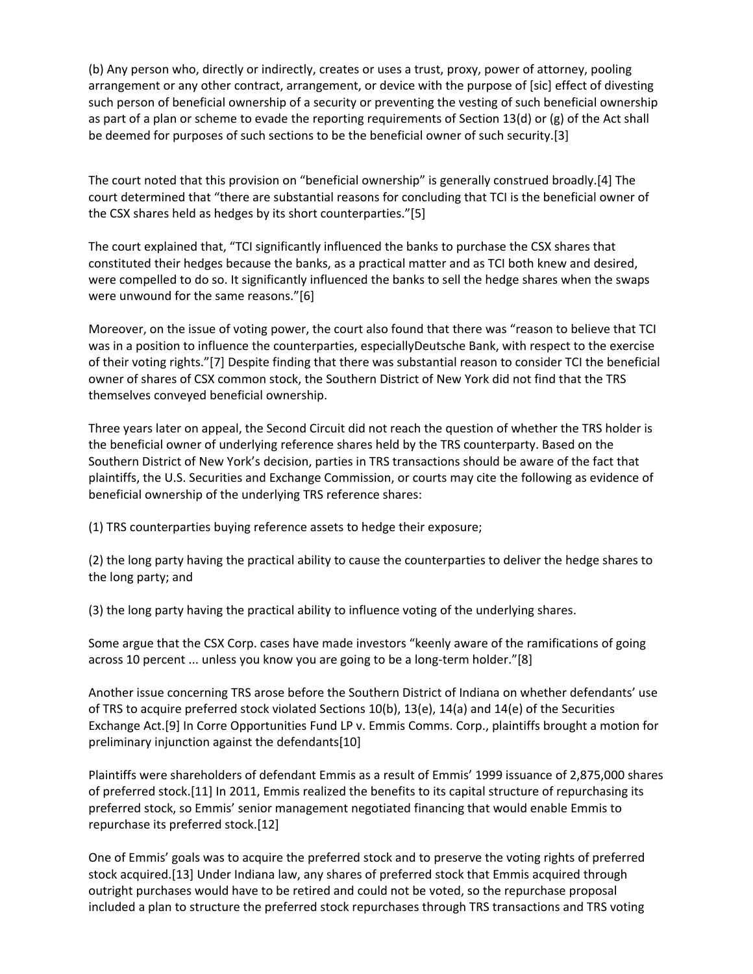(b) Any person who, directly or indirectly, creates or uses a trust, proxy, power of attorney, pooling arrangement or any other contract, arrangement, or device with the purpose of [sic] effect of divesting such person of beneficial ownership of a security or preventing the vesting of such beneficial ownership as part of a plan or scheme to evade the reporting requirements of Section 13(d) or (g) of the Act shall be deemed for purposes of such sections to be the beneficial owner of such security.[3]

The court noted that this provision on "beneficial ownership" is generally construed broadly.[4] The court determined that "there are substantial reasons for concluding that TCI is the beneficial owner of the CSX shares held as hedges by its short counterparties."[5]

The court explained that, "TCI significantly influenced the banks to purchase the CSX shares that constituted their hedges because the banks, as a practical matter and as TCI both knew and desired, were compelled to do so. It significantly influenced the banks to sell the hedge shares when the swaps were unwound for the same reasons."[6]

Moreover, on the issue of voting power, the court also found that there was "reason to believe that TCI was in a position to influence the counterparties, especiallyDeutsche Bank, with respect to the exercise of their voting rights."[7] Despite finding that there was substantial reason to consider TCI the beneficial owner of shares of CSX common stock, the Southern District of New York did not find that the TRS themselves conveyed beneficial ownership.

Three years later on appeal, the Second Circuit did not reach the question of whether the TRS holder is the beneficial owner of underlying reference shares held by the TRS counterparty. Based on the Southern District of New York's decision, parties in TRS transactions should be aware of the fact that plaintiffs, the U.S. Securities and Exchange Commission, or courts may cite the following as evidence of beneficial ownership of the underlying TRS reference shares:

(1) TRS counterparties buying reference assets to hedge their exposure;

(2) the long party having the practical ability to cause the counterparties to deliver the hedge shares to the long party; and

(3) the long party having the practical ability to influence voting of the underlying shares.

Some argue that the CSX Corp. cases have made investors "keenly aware of the ramifications of going across 10 percent ... unless you know you are going to be a long-term holder."[8]

Another issue concerning TRS arose before the Southern District of Indiana on whether defendants' use of TRS to acquire preferred stock violated Sections 10(b), 13(e), 14(a) and 14(e) of the Securities Exchange Act.[9] In Corre Opportunities Fund LP v. Emmis Comms. Corp., plaintiffs brought a motion for preliminary injunction against the defendants[10]

Plaintiffs were shareholders of defendant Emmis as a result of Emmis' 1999 issuance of 2,875,000 shares of preferred stock.[11] In 2011, Emmis realized the benefits to its capital structure of repurchasing its preferred stock, so Emmis' senior management negotiated financing that would enable Emmis to repurchase its preferred stock.[12]

One of Emmis' goals was to acquire the preferred stock and to preserve the voting rights of preferred stock acquired.[13] Under Indiana law, any shares of preferred stock that Emmis acquired through outright purchases would have to be retired and could not be voted, so the repurchase proposal included a plan to structure the preferred stock repurchases through TRS transactions and TRS voting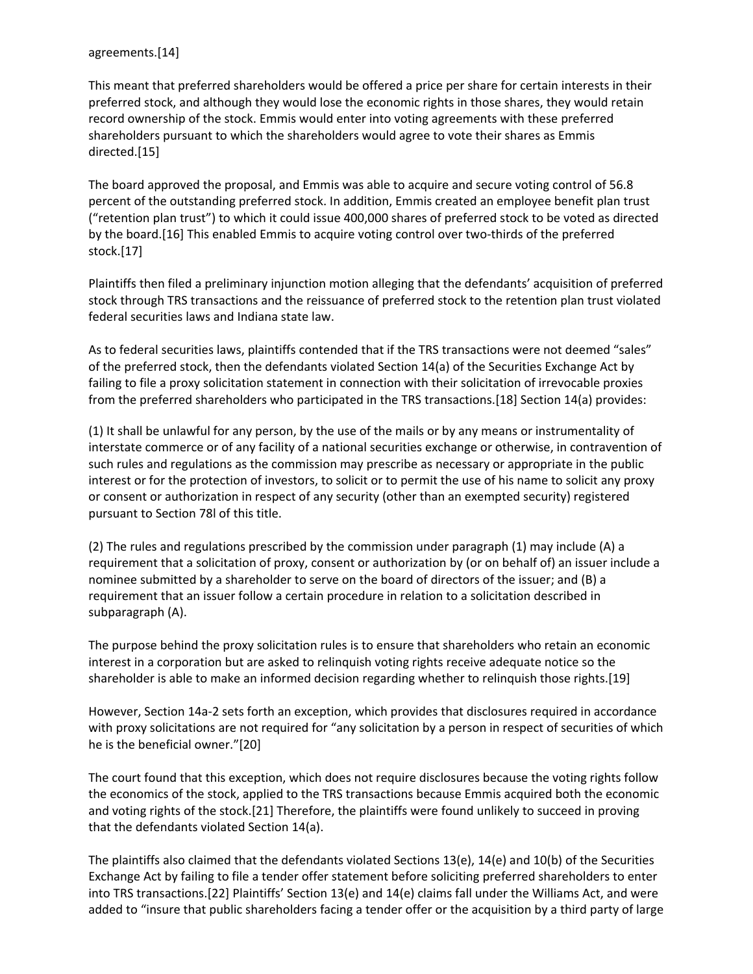## agreements.[14]

This meant that preferred shareholders would be offered a price per share for certain interests in their preferred stock, and although they would lose the economic rights in those shares, they would retain record ownership of the stock. Emmis would enter into voting agreements with these preferred shareholders pursuant to which the shareholders would agree to vote their shares as Emmis directed.[15]

The board approved the proposal, and Emmis was able to acquire and secure voting control of 56.8 percent of the outstanding preferred stock. In addition, Emmis created an employee benefit plan trust ("retention plan trust") to which it could issue 400,000 shares of preferred stock to be voted as directed by the board.[16] This enabled Emmis to acquire voting control over two‐thirds of the preferred stock.[17]

Plaintiffs then filed a preliminary injunction motion alleging that the defendants' acquisition of preferred stock through TRS transactions and the reissuance of preferred stock to the retention plan trust violated federal securities laws and Indiana state law.

As to federal securities laws, plaintiffs contended that if the TRS transactions were not deemed "sales" of the preferred stock, then the defendants violated Section 14(a) of the Securities Exchange Act by failing to file a proxy solicitation statement in connection with their solicitation of irrevocable proxies from the preferred shareholders who participated in the TRS transactions.[18] Section 14(a) provides:

(1) It shall be unlawful for any person, by the use of the mails or by any means or instrumentality of interstate commerce or of any facility of a national securities exchange or otherwise, in contravention of such rules and regulations as the commission may prescribe as necessary or appropriate in the public interest or for the protection of investors, to solicit or to permit the use of his name to solicit any proxy or consent or authorization in respect of any security (other than an exempted security) registered pursuant to Section 78l of this title.

(2) The rules and regulations prescribed by the commission under paragraph (1) may include (A) a requirement that a solicitation of proxy, consent or authorization by (or on behalf of) an issuer include a nominee submitted by a shareholder to serve on the board of directors of the issuer; and (B) a requirement that an issuer follow a certain procedure in relation to a solicitation described in subparagraph (A).

The purpose behind the proxy solicitation rules is to ensure that shareholders who retain an economic interest in a corporation but are asked to relinquish voting rights receive adequate notice so the shareholder is able to make an informed decision regarding whether to relinquish those rights.[19]

However, Section 14a‐2 sets forth an exception, which provides that disclosures required in accordance with proxy solicitations are not required for "any solicitation by a person in respect of securities of which he is the beneficial owner."[20]

The court found that this exception, which does not require disclosures because the voting rights follow the economics of the stock, applied to the TRS transactions because Emmis acquired both the economic and voting rights of the stock.[21] Therefore, the plaintiffs were found unlikely to succeed in proving that the defendants violated Section 14(a).

The plaintiffs also claimed that the defendants violated Sections 13(e), 14(e) and 10(b) of the Securities Exchange Act by failing to file a tender offer statement before soliciting preferred shareholders to enter into TRS transactions.[22] Plaintiffs' Section 13(e) and 14(e) claims fall under the Williams Act, and were added to "insure that public shareholders facing a tender offer or the acquisition by a third party of large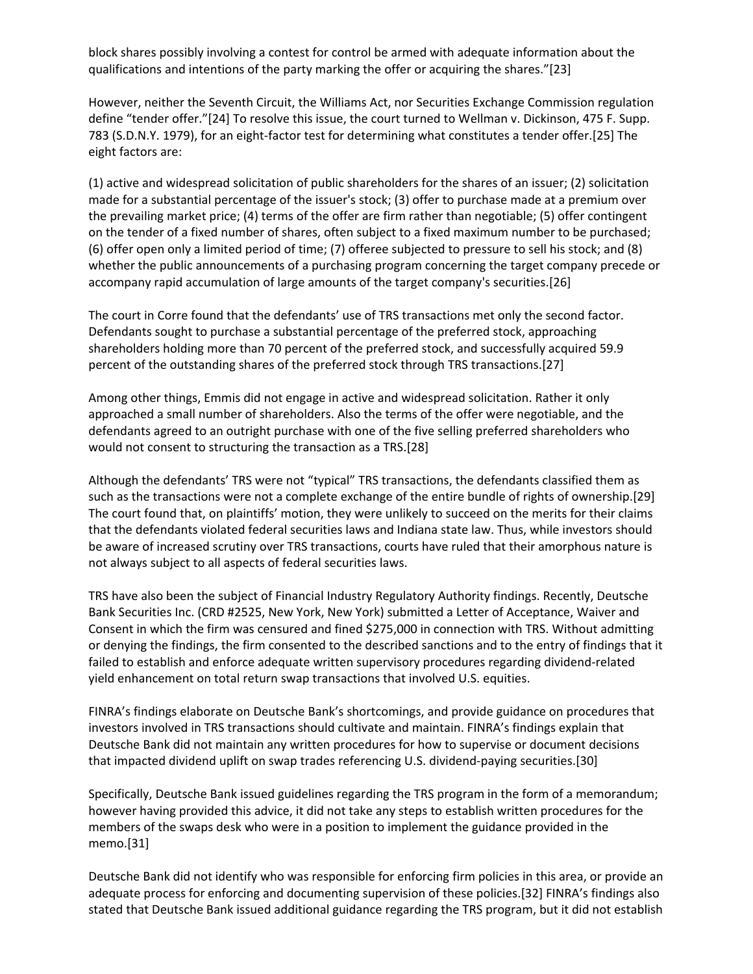block shares possibly involving a contest for control be armed with adequate information about the qualifications and intentions of the party marking the offer or acquiring the shares."[23]

However, neither the Seventh Circuit, the Williams Act, nor Securities Exchange Commission regulation define "tender offer."[24] To resolve this issue, the court turned to Wellman v. Dickinson, 475 F. Supp. 783 (S.D.N.Y. 1979), for an eight‐factor test for determining what constitutes a tender offer.[25] The eight factors are:

(1) active and widespread solicitation of public shareholders for the shares of an issuer; (2) solicitation made for a substantial percentage of the issuer's stock; (3) offer to purchase made at a premium over the prevailing market price; (4) terms of the offer are firm rather than negotiable; (5) offer contingent on the tender of a fixed number of shares, often subject to a fixed maximum number to be purchased; (6) offer open only a limited period of time; (7) offeree subjected to pressure to sell his stock; and (8) whether the public announcements of a purchasing program concerning the target company precede or accompany rapid accumulation of large amounts of the target company's securities.[26]

The court in Corre found that the defendants' use of TRS transactions met only the second factor. Defendants sought to purchase a substantial percentage of the preferred stock, approaching shareholders holding more than 70 percent of the preferred stock, and successfully acquired 59.9 percent of the outstanding shares of the preferred stock through TRS transactions.[27]

Among other things, Emmis did not engage in active and widespread solicitation. Rather it only approached a small number of shareholders. Also the terms of the offer were negotiable, and the defendants agreed to an outright purchase with one of the five selling preferred shareholders who would not consent to structuring the transaction as a TRS.[28]

Although the defendants' TRS were not "typical" TRS transactions, the defendants classified them as such as the transactions were not a complete exchange of the entire bundle of rights of ownership.[29] The court found that, on plaintiffs' motion, they were unlikely to succeed on the merits for their claims that the defendants violated federal securities laws and Indiana state law. Thus, while investors should be aware of increased scrutiny over TRS transactions, courts have ruled that their amorphous nature is not always subject to all aspects of federal securities laws.

TRS have also been the subject of Financial Industry Regulatory Authority findings. Recently, Deutsche Bank Securities Inc. (CRD #2525, New York, New York) submitted a Letter of Acceptance, Waiver and Consent in which the firm was censured and fined \$275,000 in connection with TRS. Without admitting or denying the findings, the firm consented to the described sanctions and to the entry of findings that it failed to establish and enforce adequate written supervisory procedures regarding dividend‐related yield enhancement on total return swap transactions that involved U.S. equities.

FINRA's findings elaborate on Deutsche Bank's shortcomings, and provide guidance on procedures that investors involved in TRS transactions should cultivate and maintain. FINRA's findings explain that Deutsche Bank did not maintain any written procedures for how to supervise or document decisions that impacted dividend uplift on swap trades referencing U.S. dividend‐paying securities.[30]

Specifically, Deutsche Bank issued guidelines regarding the TRS program in the form of a memorandum; however having provided this advice, it did not take any steps to establish written procedures for the members of the swaps desk who were in a position to implement the guidance provided in the memo.[31]

Deutsche Bank did not identify who was responsible for enforcing firm policies in this area, or provide an adequate process for enforcing and documenting supervision of these policies.[32] FINRA's findings also stated that Deutsche Bank issued additional guidance regarding the TRS program, but it did not establish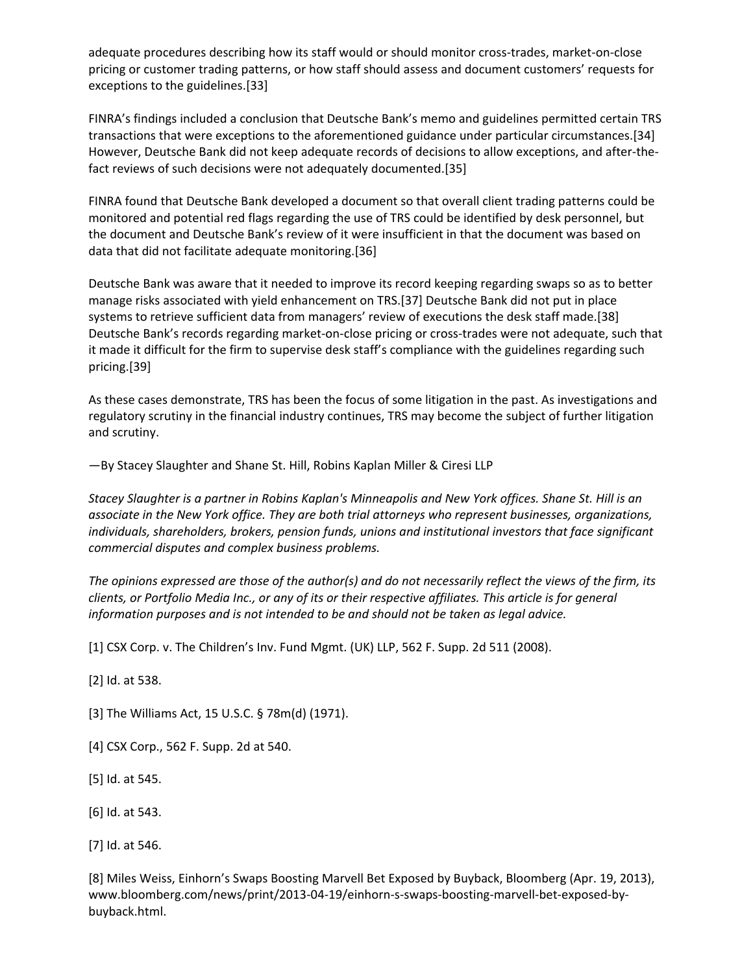adequate procedures describing how its staff would or should monitor cross-trades, market-on-close pricing or customer trading patterns, or how staff should assess and document customers' requests for exceptions to the guidelines.[33]

FINRA's findings included a conclusion that Deutsche Bank's memo and guidelines permitted certain TRS transactions that were exceptions to the aforementioned guidance under particular circumstances.[34] However, Deutsche Bank did not keep adequate records of decisions to allow exceptions, and after‐the‐ fact reviews of such decisions were not adequately documented.[35]

FINRA found that Deutsche Bank developed a document so that overall client trading patterns could be monitored and potential red flags regarding the use of TRS could be identified by desk personnel, but the document and Deutsche Bank's review of it were insufficient in that the document was based on data that did not facilitate adequate monitoring.[36]

Deutsche Bank was aware that it needed to improve its record keeping regarding swaps so as to better manage risks associated with yield enhancement on TRS.[37] Deutsche Bank did not put in place systems to retrieve sufficient data from managers' review of executions the desk staff made.[38] Deutsche Bank's records regarding market‐on‐close pricing or cross‐trades were not adequate, such that it made it difficult for the firm to supervise desk staff's compliance with the guidelines regarding such pricing.[39]

As these cases demonstrate, TRS has been the focus of some litigation in the past. As investigations and regulatory scrutiny in the financial industry continues, TRS may become the subject of further litigation and scrutiny.

—By Stacey Slaughter and Shane St. Hill, Robins Kaplan Miller & Ciresi LLP

Stacey Slaughter is a partner in Robins Kaplan's Minneapolis and New York offices. Shane St. Hill is an *associate in the New York office. They are both trial attorneys who represent businesses, organizations, individuals, shareholders, brokers, pension funds, unions and institutional investors that face significant commercial disputes and complex business problems.*

The opinions expressed are those of the author(s) and do not necessarily reflect the views of the firm, its clients, or Portfolio Media Inc., or any of its or their respective affiliates. This article is for general *information purposes and is not intended to be and should not be taken as legal advice.*

[1] CSX Corp. v. The Children's Inv. Fund Mgmt. (UK) LLP, 562 F. Supp. 2d 511 (2008).

[2] Id. at 538.

[3] The Williams Act, 15 U.S.C. § 78m(d) (1971).

- [4] CSX Corp., 562 F. Supp. 2d at 540.
- [5] Id. at 545.
- [6] Id. at 543.
- [7] Id. at 546.

[8] Miles Weiss, Einhorn's Swaps Boosting Marvell Bet Exposed by Buyback, Bloomberg (Apr. 19, 2013), www.bloomberg.com/news/print/2013‐04‐19/einhorn‐s‐swaps‐boosting‐marvell‐bet‐exposed‐by‐ buyback.html.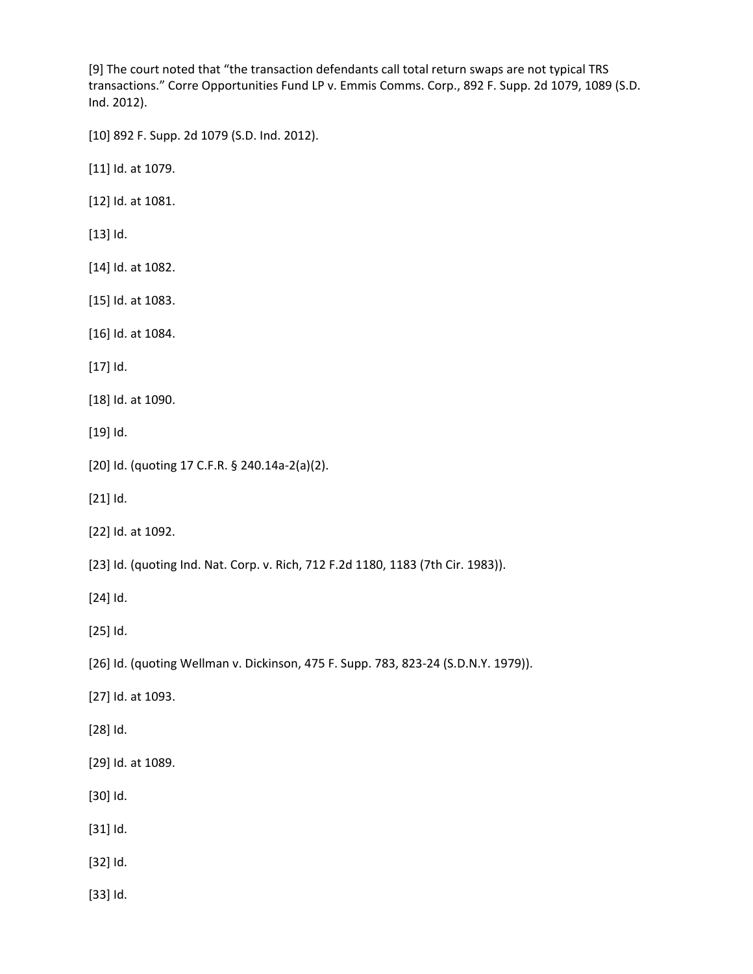[9] The court noted that "the transaction defendants call total return swaps are not typical TRS transactions." Corre Opportunities Fund LP v. Emmis Comms. Corp., 892 F. Supp. 2d 1079, 1089 (S.D. Ind. 2012).

[10] 892 F. Supp. 2d 1079 (S.D. Ind. 2012).

[11] Id. at 1079.

[12] Id. at 1081.

[13] Id.

[14] Id. at 1082.

[15] Id. at 1083.

[16] Id. at 1084.

[17] Id.

[18] Id. at 1090.

[19] Id.

[20] Id. (quoting 17 C.F.R. § 240.14a‐2(a)(2).

[21] Id.

[22] Id. at 1092.

[23] Id. (quoting Ind. Nat. Corp. v. Rich, 712 F.2d 1180, 1183 (7th Cir. 1983)).

[24] Id.

[25] Id.

[26] Id. (quoting Wellman v. Dickinson, 475 F. Supp. 783, 823-24 (S.D.N.Y. 1979)).

[27] Id. at 1093.

[28] Id.

[29] Id. at 1089.

[30] Id.

[31] Id.

[32] Id.

[33] Id.